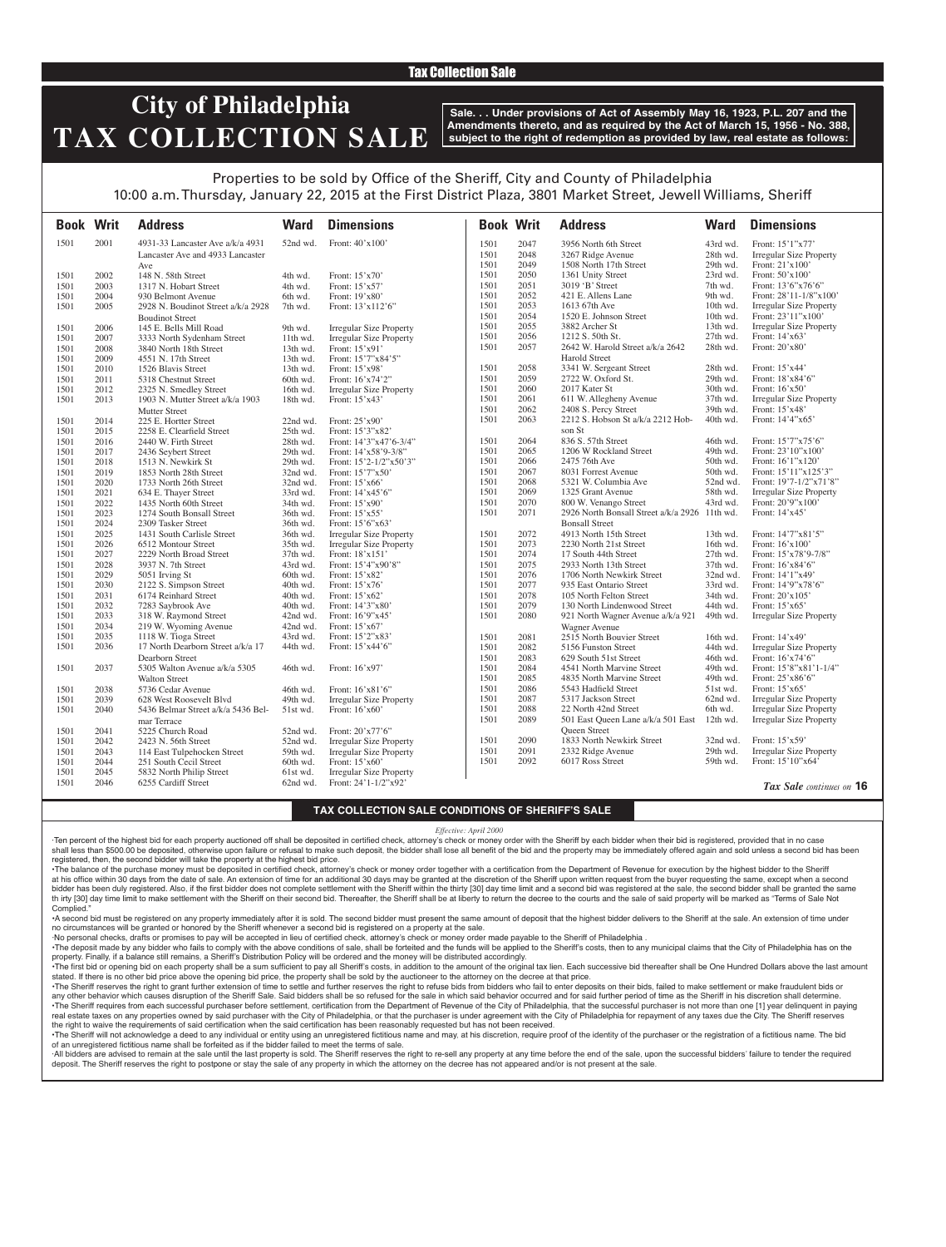### Tax Collection Sale

# **City of Philadelphia TAX COLLECTION SALE**

**Sale. . . Under provisions of Act of Assembly May 16, 1923, P.L. 207 and the Amendments thereto, and as required by the Act of March 15, 1956 - No. 388, subject to the right of redemption as provided by law, real estate as follows:**

# Properties to be sold by Office of the Sheriff, City and County of Philadelphia

10:00 a.m. Thursday, January 22, 2015 at the First District Plaza, 3801 Market Street, Jewell Williams, Sheriff

| <b>Book Writ</b> |      | <b>Address</b>                            | <b>Ward</b> | <b>Dimensions</b>              | <b>Book Writ</b> |      | <b>Address</b>                                                | Ward       | <b>Dimensions</b>                                   |
|------------------|------|-------------------------------------------|-------------|--------------------------------|------------------|------|---------------------------------------------------------------|------------|-----------------------------------------------------|
| 1501             | 2001 | 4931-33 Lancaster Ave a/k/a 4931          | 52nd wd.    | Front: 40'x100'                | 1501             | 2047 | 3956 North 6th Street                                         | 43rd wd.   | Front: 15'1"x77'                                    |
|                  |      | Lancaster Ave and 4933 Lancaster          |             |                                | 1501             | 2048 | 3267 Ridge Avenue                                             | 28th wd.   | <b>Irregular Size Property</b>                      |
|                  |      | Ave                                       |             |                                | 1501             | 2049 | 1508 North 17th Street                                        | 29th wd.   | Front: 21'x100'                                     |
| 1501             | 2002 | 148 N. 58th Street                        | 4th wd.     | Front: 15'x70'                 | 1501             | 2050 | 1361 Unity Street                                             | 23rd wd.   | Front: $50'x100'$                                   |
| 1501             | 2003 | 1317 N. Hobart Street                     | 4th wd.     | Front: 15'x57'                 | 1501             | 2051 | 3019 'B' Street                                               | 7th wd.    | Front: 13'6"x76'6"                                  |
| 1501             | 2004 | 930 Belmont Avenue                        | 6th wd.     | Front: 19'x80'                 | 1501             | 2052 | 421 E. Allens Lane                                            | 9th wd.    | Front: 28'11-1/8"x100'                              |
| 1501             | 2005 | 2928 N. Boudinot Street a/k/a 2928        | 7th wd.     | Front: 13'x112'6"              | 1501             | 2053 | 1613 67th Ave                                                 | 10th wd.   | <b>Irregular Size Property</b>                      |
|                  |      | <b>Boudinot Street</b>                    |             |                                | 1501             | 2054 | 1520 E. Johnson Street                                        | $10th$ wd. | Front: 23'11"x100"                                  |
| 1501             | 2006 | 145 E. Bells Mill Road                    | 9th wd.     | <b>Irregular Size Property</b> | 1501             | 2055 | 3882 Archer St                                                | 13th wd.   | <b>Irregular Size Property</b>                      |
| 1501             | 2007 | 3333 North Sydenham Street                | 11th wd.    | <b>Irregular Size Property</b> | 1501             | 2056 | 1212 S. 50th St.                                              | 27th wd.   | Front: $14'x63'$                                    |
| 1501             | 2008 | 3840 North 18th Street                    | $13th$ wd.  | Front: 15'x91'                 | 1501             | 2057 | 2642 W. Harold Street a/k/a 2642                              | 28th wd.   | Front: 20'x80'                                      |
| 1501             | 2009 | 4551 N. 17th Street                       | 13th wd.    | Front: 15'7"x84'5"             |                  |      | Harold Street                                                 |            |                                                     |
| 1501             | 2010 | 1526 Blavis Street                        | 13th wd.    | Front: 15'x98'                 | 1501             | 2058 | 3341 W. Sergeant Street                                       | 28th wd.   | Front: 15'x44'                                      |
| 1501             | 2011 | 5318 Chestnut Street                      | 60th wd.    | Front: 16'x74'2"               | 1501             | 2059 | 2722 W. Oxford St.                                            | 29th wd.   | Front: 18'x84'6"                                    |
| 1501             | 2012 | 2325 N. Smedley Street                    | 16th wd.    | <b>Irregular Size Property</b> | 1501             | 2060 | 2017 Kater St                                                 | 30th wd.   | Front: 16'x50'                                      |
| 1501             | 2013 | 1903 N. Mutter Street a/k/a 1903          | 18th wd.    | Front: 15'x43'                 | 1501             | 2061 | 611 W. Allegheny Avenue                                       | 37th wd.   | <b>Irregular Size Property</b>                      |
|                  |      | <b>Mutter Street</b>                      |             |                                | 1501             | 2062 | 2408 S. Percy Street                                          | 39th wd.   | Front: 15'x48'                                      |
| 1501             | 2014 | 225 E. Hortter Street                     | 22nd wd.    | Front: 25'x90'                 | 1501             | 2063 | 2212 S. Hobson St a/k/a 2212 Hob-                             | 40th wd.   | Front: 14'4"x65'                                    |
| 1501             | 2015 | 2258 E. Clearfield Street                 | 25th wd.    | Front: 15'3"x82'               |                  |      | son St                                                        |            |                                                     |
| 1501             | 2016 | 2440 W. Firth Street                      | 28th wd.    | Front: 14'3"x47'6-3/4"         | 1501             | 2064 | 836 S. 57th Street                                            | 46th wd.   | Front: 15'7"x75'6"                                  |
| 1501             | 2017 |                                           | 29th wd.    | Front: 14'x58'9-3/8"           | 1501             | 2065 | 1206 W Rockland Street                                        | 49th wd.   | Front: 23'10"x100"                                  |
| 1501             | 2018 | 2436 Seybert Street<br>1513 N. Newkirk St | 29th wd.    | Front: 15'2-1/2"x50'3"         | 1501             | 2066 | 2475 76th Ave                                                 | 50th wd.   | Front: 16'1"x120'                                   |
| 1501             | 2019 | 1853 North 28th Street                    |             | Front: 15'7"x50'               | 1501             | 2067 | 8031 Forrest Avenue                                           | 50th wd.   | Front: 15'11"x125'3"                                |
| 1501             | 2020 |                                           | 32nd wd.    |                                | 1501             | 2068 | 5321 W. Columbia Ave                                          | 52nd wd.   | Front: 19'7-1/2"x71'8"                              |
|                  |      | 1733 North 26th Street                    | 32nd wd.    | Front: 15'x66'                 | 1501             | 2069 | 1325 Grant Avenue                                             | 58th wd.   |                                                     |
| 1501             | 2021 | 634 E. Thayer Street                      | 33rd wd.    | Front: 14'x45'6"               | 1501             | 2070 |                                                               | 43rd wd.   | <b>Irregular Size Property</b><br>Front: 20'9"x100' |
| 1501             | 2022 | 1435 North 60th Street                    | 34th wd.    | Front: 15'x90'                 | 1501             | 2071 | 800 W. Venango Street<br>2926 North Bonsall Street a/k/a 2926 | $11th$ wd. | Front: 14'x45'                                      |
| 1501             | 2023 | 1274 South Bonsall Street                 | 36th wd.    | Front: 15'x55'                 |                  |      |                                                               |            |                                                     |
| 1501             | 2024 | 2309 Tasker Street                        | 36th wd.    | Front: 15'6"x63'               |                  |      | <b>Bonsall Street</b>                                         |            |                                                     |
| 1501             | 2025 | 1431 South Carlisle Street                | 36th wd.    | <b>Irregular Size Property</b> | 1501             | 2072 | 4913 North 15th Street                                        | 13th wd.   | Front: 14'7"x81'5"                                  |
| 1501             | 2026 | 6512 Montour Street                       | 35th wd.    | <b>Irregular Size Property</b> | 1501             | 2073 | 2230 North 21st Street                                        | 16th wd.   | Front: $16'x100'$                                   |
| 1501             | 2027 | 2229 North Broad Street                   | 37th wd.    | Front: 18'x151                 | 1501             | 2074 | 17 South 44th Street                                          | 27th wd.   | Front: 15'x78'9-7/8"                                |
| 1501             | 2028 | 3937 N. 7th Street                        | 43rd wd.    | Front: 15'4"x90'8"             | 1501             | 2075 | 2933 North 13th Street                                        | 37th wd.   | Front: 16'x84'6"                                    |
| 1501             | 2029 | 5051 Irving St                            | 60th wd.    | Front: 15'x82'                 | 1501             | 2076 | 1706 North Newkirk Street                                     | 32nd wd.   | Front: 14'1"x49'                                    |
| 1501             | 2030 | 2122 S. Simpson Street                    | 40th wd.    | Front: 15'x76'                 | 1501             | 2077 | 935 East Ontario Street                                       | 33rd wd.   | Front: 14'9"x78'6"                                  |
| 1501             | 2031 | 6174 Reinhard Street                      | 40th wd.    | Front: 15'x62'                 | 1501             | 2078 | 105 North Felton Street                                       | 34th wd.   | Front: 20'x105'                                     |
| 1501             | 2032 | 7283 Saybrook Ave                         | $40th$ wd.  | Front: 14'3"x80'               | 1501             | 2079 | 130 North Lindenwood Street                                   | 44th wd.   | Front: 15'x65'                                      |
| 1501             | 2033 | 318 W. Raymond Street                     | 42nd wd.    | Front: 16'9"x45'               | 1501             | 2080 | 921 North Wagner Avenue a/k/a 921                             | 49th wd.   | <b>Irregular Size Property</b>                      |
| 1501             | 2034 | 219 W. Wyoming Avenue                     | 42nd wd.    | Front: 15'x67'                 |                  |      | Wagner Avenue                                                 |            |                                                     |
| 1501             | 2035 | 1118 W. Tioga Street                      | 43rd wd.    | Front: 15'2"x83'               | 1501             | 2081 | 2515 North Bouvier Street                                     | 16th wd.   | Front: 14'x49'                                      |
| 1501             | 2036 | 17 North Dearborn Street a/k/a 17         | 44th wd.    | Front: 15'x44'6"               | 1501             | 2082 | 5156 Funston Street                                           | 44th wd.   | <b>Irregular Size Property</b>                      |
|                  |      | Dearborn Street                           |             |                                | 1501             | 2083 | 629 South 51st Street                                         | 46th wd.   | Front: 16'x74'6"                                    |
| 1501             | 2037 | 5305 Walton Avenue a/k/a 5305             | 46th wd.    | Front: 16'x97'                 | 1501             | 2084 | 4541 North Marvine Street                                     | 49th wd.   | Front: 15'8"x81'1-1/4"                              |
|                  |      | <b>Walton Street</b>                      |             |                                | 1501             | 2085 | 4835 North Marvine Street                                     | 49th wd.   | Front: 25'x86'6"                                    |
| 1501             | 2038 | 5736 Cedar Avenue                         | 46th wd.    | Front: 16'x81'6"               | 1501             | 2086 | 5543 Hadfield Street                                          | 51st wd.   | Front: 15'x65'                                      |
| 1501             | 2039 | 628 West Roosevelt Blyd                   | 49th wd.    | <b>Irregular Size Property</b> | 1501             | 2087 | 5317 Jackson Street                                           | 62nd wd.   | <b>Irregular Size Property</b>                      |
| 1501             | 2040 | 5436 Belmar Street a/k/a 5436 Bel-        | 51st wd.    | Front: 16'x60'                 | 1501             | 2088 | 22 North 42nd Street                                          | 6th wd.    | Irregular Size Property                             |
|                  |      | mar Terrace                               |             |                                | 1501             | 2089 | 501 East Queen Lane a/k/a 501 East                            | 12th wd.   | <b>Irregular Size Property</b>                      |
| 1501             | 2041 | 5225 Church Road                          | 52nd wd.    | Front: 20'x77'6"               |                  |      | <b>Oueen Street</b>                                           |            |                                                     |
| 1501             | 2042 | 2423 N. 56th Street                       | 52nd wd.    | <b>Irregular Size Property</b> | 1501             | 2090 | 1833 North Newkirk Street                                     | 32nd wd.   | Front: 15'x59'                                      |
| 1501             | 2043 | 114 East Tulpehocken Street               | 59th wd.    | Irregular Size Property        | 1501             | 2091 | 2332 Ridge Avenue                                             | 29th wd.   | <b>Irregular Size Property</b>                      |
| 1501             | 2044 | 251 South Cecil Street                    | 60th wd.    | Front: 15'x60'                 | 1501             | 2092 | 6017 Ross Street                                              | 59th wd.   | Front: 15'10"x64'                                   |
| 1501             | 2045 | 5832 North Philip Street                  | 61st wd.    | <b>Irregular Size Property</b> |                  |      |                                                               |            |                                                     |
| 1501             | 2046 | 6255 Cardiff Street                       | 62nd wd.    | Front: 24'1-1/2"x92'           |                  |      |                                                               |            | <b>Tax Sale</b> continues on <b>16</b>              |

#### **TAX COLLECTION SALE CONDITIONS OF SHERIFF'S SALE**

#### *Effective: April 2000*

·Ten percent of the highest bid for each property auctioned off shall be deposited in certified check, attorney's check or money order with the Sheriff by each bidder when their bid is registered, provided that in no case shall less than \$500.00 be deposited, otherwise upon failure or refusal to make such deposit, the bidder shall lose all benefit of the bid and the property may be immediately offered again and sold unless a second bid has registered, then, the second bidder will take the property at the highest bid price.

•The balance of the purchase money must be deposited in certified check, attorney's check or money order together with a certification from the Department of Revenue for execution by the highest bidder to the Sheriff at his office within 30 days from the date of sale. An extension of time for an additional 30 days may be granted at the discretion of the Sheriff upon written request from the buyer requesting the same, except when a second bidder has been duly registered. Also, if the first bidder does not complete settlement with the Sheriff within the thirty [30] day time limit and a second bid was registered at the sale, the second bidder shall be granted th irty [30] day time limit to make settlement with the Sheriff on their second bid. Thereafter, the Sheriff shall be at liberty to return the decree to the courts and the sale of said property will be marked as "Terms of Complied.

•A second bid must be registered on any property immediately after it is sold. The second bidder must present the same amount of deposit that the highest bidder delivers to the Sheriff at the sale. An extension of time under no circumstances will be granted or honored by the Sheriff whenever a second bid is registered on a property at the sale.

·No personal checks, drafts or promises to pay will be accepted in lieu of certified check, attorney's check or money order made payable to the Sheriff of Philadelphia .

. The deposit made by any bidder who fails to comply with the above conditions of sale, shall be forteited and the funds will be applied to the Sheriff's costs, then to any municipal claims that the City of Philadelphia ha property. Finally, if a balance still remains, a Sheriff's Distribution Policy will be ordered and the money will be distributed accordingly.

The first bid or opening bid on each property shall be a sum sufficient to pay all Sheriff's costs, in addition to the amount of the original tax lien. Each successive bid thereafter shall be One Hundred Dollars above the stated. If there is no other bid price above the opening bid price, the property shall be sold by the auctioneer to the attorney on the decree at that price.

·The Sheriff reserves the right to grant further extension of time to settle and further reserves the right to refuse bids from bidders who fail to enter deposits on their bids, failed to make settlement or make fraudulent any other behavior which causes disruption of the Sheriff Sale. Said bidders shall be so refused for the sale in which said behavior occurred and for said further period of time as the Sheriff in his discretion shall deter •The Sheriff requires from each successful purchaser before settlement, certification from the Department of Revenue of the City of Philadelphia, that the successful purchaser is not more than one [1] year delinquent in pa real estate taxes on any properties owned by said purchaser with the City of Philadelphia, or that the purchaser is under agreement with the City of Philadelphia for repayment of any taxes due the City. The Sheriff reserve the right to waive the requirements of said certification when the said certification has been reasonably requested but has not been received.

The Sheriff will not acknowledge a deed to any individual or entity using an unregistered fictitious name and may, at his discretion, require proof of the identity of the purchaser or the registration of a fictitious name. of an unregistered fictitious name shall be forfeited as if the bidder failed to meet the terms of sale.

All bidders are advised to remain at the sale until the last property is sold. The Sheriff reserves the right to re-sell any property at any time before the end of the sale, upon the successful bidders' failure to tender t deposit. The Sheriff reserves the right to postpone or stay the sale of any property in which the attorney on the decree has not appeared and/or is not present at the sale.